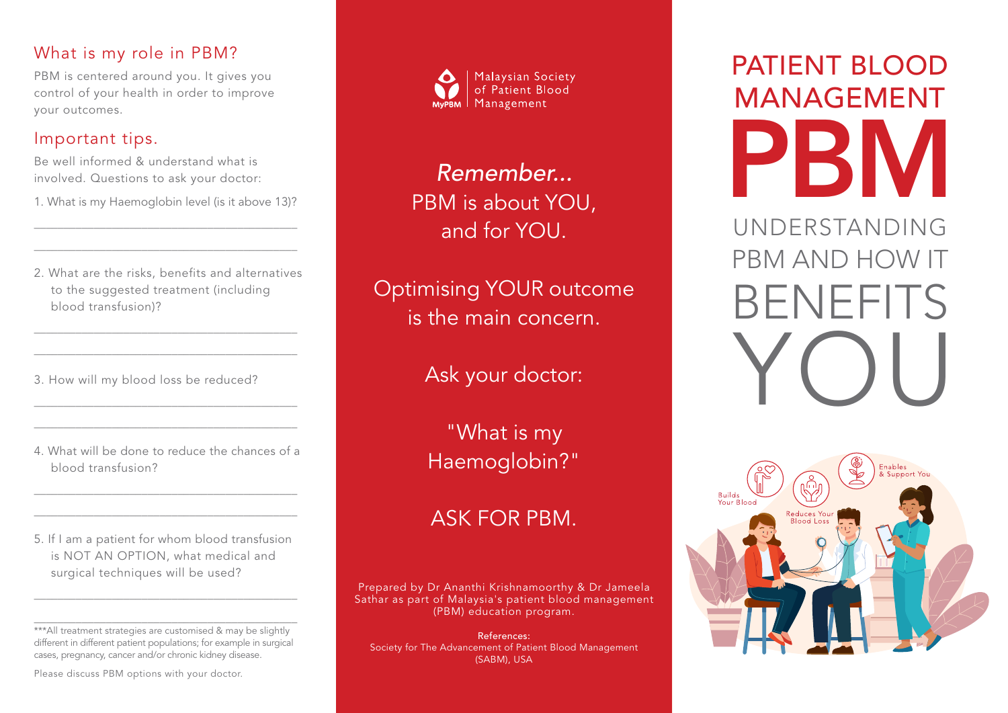#### What is my role in PBM?

PBM is centered around you. It gives you control of your health in order to improve your outcomes.

#### Important tips.

Be well informed & understand what is involved. Questions to ask your doctor:

1. What is my Haemoglobin level (is it above 13)?  $\overline{\phantom{a}}$  , and the contract of the contract of the contract of the contract of the contract of the contract of the contract of the contract of the contract of the contract of the contract of the contract of the contrac

2. What are the risks, benefits and alternatives to the suggested treatment (including blood transfusion)?

\_\_\_\_\_\_\_\_\_\_\_\_\_\_\_\_\_\_\_\_\_\_\_\_\_\_\_\_\_\_\_\_\_\_\_\_\_\_\_\_\_\_\_\_ \_\_\_\_\_\_\_\_\_\_\_\_\_\_\_\_\_\_\_\_\_\_\_\_\_\_\_\_\_\_\_\_\_\_\_\_\_\_\_\_\_\_\_\_

\_\_\_\_\_\_\_\_\_\_\_\_\_\_\_\_\_\_\_\_\_\_\_\_\_\_\_\_\_\_\_\_\_\_\_\_\_\_\_\_\_\_\_\_

3. How will my blood loss be reduced?

4. What will be done to reduce the chances of a blood transfusion?

\_\_\_\_\_\_\_\_\_\_\_\_\_\_\_\_\_\_\_\_\_\_\_\_\_\_\_\_\_\_\_\_\_\_\_\_\_\_\_\_\_\_\_\_ \_\_\_\_\_\_\_\_\_\_\_\_\_\_\_\_\_\_\_\_\_\_\_\_\_\_\_\_\_\_\_\_\_\_\_\_\_\_\_\_\_\_\_\_

\_\_\_\_\_\_\_\_\_\_\_\_\_\_\_\_\_\_\_\_\_\_\_\_\_\_\_\_\_\_\_\_\_\_\_\_\_\_\_\_\_\_\_\_ \_\_\_\_\_\_\_\_\_\_\_\_\_\_\_\_\_\_\_\_\_\_\_\_\_\_\_\_\_\_\_\_\_\_\_\_\_\_\_\_\_\_\_\_

5. If I am a patient for whom blood transfusion is NOT AN OPTION, what medical and surgical techniques will be used?

\_\_\_\_\_\_\_\_\_\_\_\_\_\_\_\_\_\_\_\_\_\_\_\_\_\_\_\_\_\_\_\_\_\_\_\_\_\_\_\_\_\_\_\_

\_\_\_\_\_\_\_\_\_\_\_\_\_\_\_\_\_\_\_\_\_\_\_\_\_\_\_\_\_\_\_\_\_\_\_\_\_\_\_\_\_\_\_\_

\*\*\*All treatment strategies are customised & may be slightly different in different patient populations; for example in surgical cases, pregnancy, cancer and/or chronic kidney disease.

Please discuss PBM options with your doctor.



*Remember...* PBM is about YOU, and for YOU.

Optimising YOUR outcome is the main concern.

Ask your doctor:

"What is my Haemoglobin?"

### ASK FOR PBM.

Prepared by Dr Ananthi Krishnamoorthy & Dr Jameela Sathar as part of Malaysia's patient blood management (PBM) education program.

References: Society for The Advancement of Patient Blood Management (SABM), USA

# PATIENT BLOOD MANAGEMENT PBI

UNDERSTANDING PBM AND HOW IT BENEFITS YOU